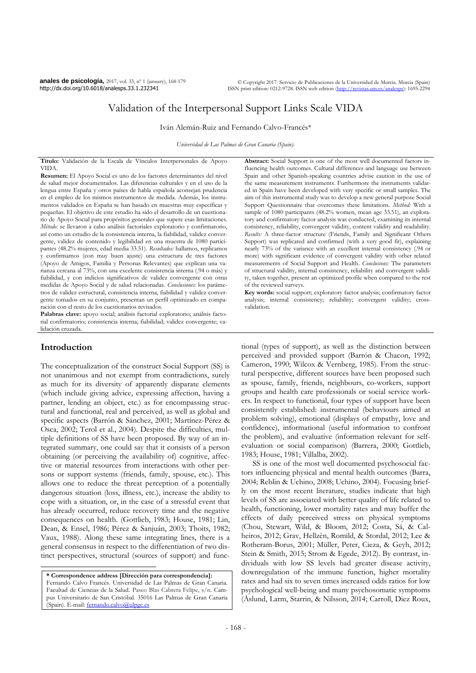**anales de psicología,** 2017, vol. 33, nº 1 (january), 168-179 http://dx.doi.org/10.6018/analesps.33.1.232341

© Copyright 2017: Servicio de Publicaciones de la Universidad de Murcia. Murcia (Spain) ISSN print edition: 0212-9728. ISSN web edition (http://revistas

# Validation of the Interpersonal Support Links Scale VIDA

Iván Alemán-Ruiz and Fernando Calvo-Francés\*

*Universidad de Las Palmas de Gran Canaria (Spain).*

**Título:** Validación de la Escala de Vínculos Interpersonales de Apoyo VIDA.

**Resumen:** El Apoyo Social es uno de los factores determinantes del nivel de salud mejor documentados. Las diferencias culturales y en el uso de la lengua entre España y otros países de habla española aconsejan prudencia en el empleo de los mismos instrumentos de medida. Además, los instrumentos validados en España se han basado en muestras muy específicas y pequeñas. El objetivo de este estudio ha sido el desarrollo de un cuestionario de Apoyo Social para propósitos generales que supere esas limitaciones. *Método:* se llevaron a cabo análisis factoriales exploratorio y confirmatorio, así como un estudio de la consistencia interna, la fiabilidad, validez convergente, validez de contenido y legibilidad en una muestra de 1080 participantes (48.2% mujeres, edad media 33.51). *Resultados:* hallamos, replicamos y confirmamos (con muy buen ajuste) una estructura de tres factores (Apoyo de Amigos, Familia y Personas Relevantes) que explican una varianza cercana al 73%, con una excelente consistencia interna (.94 o más) y fiabilidad, y con indicios significativos de validez convergente con otras medidas de Apoyo Social y de salud relacionadas. *Conclusiones:* los parámetros de validez estructural, consistencia interna, fiabilidad y validez convergente tomados en su conjunto, presentan un perfil optimizado en comparación con el resto de los cuestionarios revisados.

**Palabras clave:** apoyo social; análisis factorial exploratorio; análisis factorial confirmatorio; consistencia interna; fiabilidad; validez convergente; validación cruzada.

# **Introduction**

-

The conceptualization of the construct Social Support (SS) is not unanimous and not exempt from contradictions, surely as much for its diversity of apparently disparate elements (which include giving advice, expressing affection, having a partner, lending an object, etc.) as for encompassing structural and functional, real and perceived, as well as global and specific aspects (Barrón & Sánchez, 2001; Martínez-Pérez & Osca, 2002; Terol et al., 2004). Despite the difficulties, multiple definitions of SS have been proposed. By way of an integrated summary, one could say that it consists of a person obtaining (or perceiving the availability of) cognitive, affective or material resources from interactions with other persons or support systems (friends, family, spouse, etc.). This allows one to reduce the threat perception of a potentially dangerous situation (loss, illness, etc.), increase the ability to cope with a situation, or, in the case of a stressful event that has already occurred, reduce recovery time and the negative consequences on health. (Gottlieb, 1983; House, 1981; Lin, Dean, & Ensel, 1986; Pérez & Sanjuán, 2003; Thoits, 1982; Vaux, 1988). Along these same integrating lines, there is a general consensus in respect to the differentiation of two distinct perspectives, structural (sources of support) and func-

**\* Correspondence address [Dirección para correspondencia]:** Fernando Calvo Francés. Universidad de Las Palmas de Gran Canaria. Facultad de Ciencias de la Salud. Paseo Blas Cabrera Felipe, s/n. Campus Universitario de San Cristóbal. 35016 Las Palmas de Gran Canaria (Spain). E-mail: fernando.calvo@ulpg

**Abstract:** Social Support is one of the most well documented factors influencing health outcomes. Cultural differences and language use between Spain and other Spanish-speaking countries advise caution in the use of the same measurement instruments. Furthermore the instruments validated in Spain have been developed with very specific or small samples. The aim of this instrumental study was to develop a new general purpose Social Support Questionnaire that overcomes these limitations. *Method:* With a sample of 1080 participants (48.2% women, mean age 33.51), an exploratory and confirmatory factor analysis was conducted, examining its internal consistency, reliability, convergent validity, content validity and readability. *Results:* A three-factor structure (Friends, Family and Significant Others Support) was replicated and confirmed (with a very good fit), explaining nearly 73% of the variance with an excellent internal consistency (.94 or more) with significant evidence of convergent validity with other related measurements of Social Support and Health. *Conclusions:* The parameters of structural validity, internal consistency, reliability and convergent validity, taken together, present an optimized profile when compared to the rest of the reviewed surveys.

**Key words:** social support; exploratory factor analysis; confirmatory factor analysis; internal consistency; reliability; convergent validity; crossvalidation.

tional (types of support), as well as the distinction between perceived and provided support (Barrón & Chacon, 1992; Cameron, 1990; Wilcox & Vernberg, 1985). From the structural perspective, different sources have been proposed such as spouse, family, friends, neighbours, co-workers, support groups and health care professionals or social service workers. In respect to functional, four types of support have been consistently established: instrumental (behaviours aimed at problem solving), emotional (displays of empathy, love and confidence), informational (useful information to confront the problem), and evaluative (information relevant for selfevaluation or social comparison) (Barrera, 2000; Gottlieb, 1983; House, 1981; Villalba, 2002).

SS is one of the most well documented psychosocial factors influencing physical and mental health outcomes (Barra, 2004; Reblin & Uchino, 2008; Uchino, 2004). Focusing briefly on the most recent literature, studies indicate that high levels of SS are associated with better quality of life related to health, functioning, lower mortality rates and may buffer the effects of daily perceived stress on physical symptoms (Chou, Stewart, Wild, & Bloom, 2012; Costa, Sá, & Calheiros, 2012; Grav, Hellzèn, Romild, & Stordal, 2012; Lee & Rotheram-Borus, 2001; Müller, Peter, Cieza, & Geyh, 2012; Stein & Smith, 2015; Strom & Egede, 2012). By contrast, individuals with low SS levels had greater disease activity, downregulation of the immune function, higher mortality rates and had six to seven times increased odds ratios for low psychological well-being and many psychosomatic symptoms (Åslund, Larm, Starrin, & Nilsson, 2014; Carroll, Diez Roux,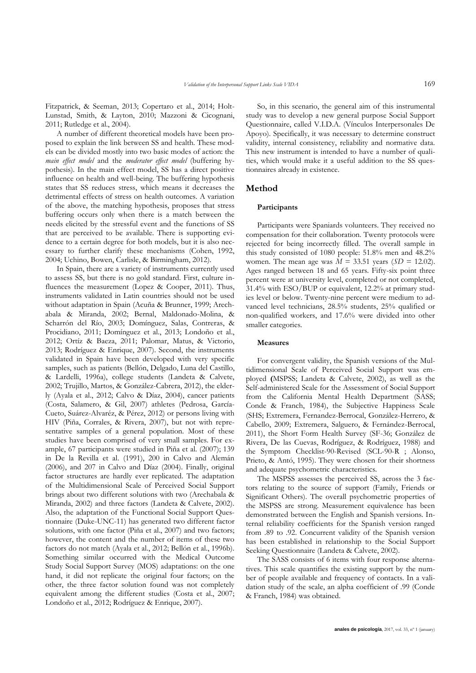Fitzpatrick, & Seeman, 2013; Copertaro et al., 2014; Holt-Lunstad, Smith, & Layton, 2010; Mazzoni & Cicognani, 2011; Rutledge et al., 2004).

A number of different theoretical models have been proposed to explain the link between SS and health. These models can be divided mostly into two basic modes of action: the *main effect model* and the *moderator effect model* (buffering hypothesis). In the main effect model, SS has a direct positive influence on health and well-being. The buffering hypothesis states that SS reduces stress, which means it decreases the detrimental effects of stress on health outcomes. A variation of the above, the matching hypothesis, proposes that stress buffering occurs only when there is a match between the needs elicited by the stressful event and the functions of SS that are perceived to be available. There is supporting evidence to a certain degree for both models, but it is also necessary to further clarify these mechanisms (Cohen, 1992, 2004; Uchino, Bowen, Carlisle, & Birmingham, 2012).

In Spain, there are a variety of instruments currently used to assess SS, but there is no gold standard. First, culture influences the measurement (Lopez & Cooper, 2011). Thus, instruments validated in Latin countries should not be used without adaptation in Spain (Acuña & Brunner, 1999; Arechabala & Miranda, 2002; Bernal, Maldonado-Molina, & Scharrón del Río, 2003; Domínguez, Salas, Contreras, & Procidiano, 2011; Domínguez et al., 2013; Londoño et al., 2012; Ortíz & Baeza, 2011; Palomar, Matus, & Victorio, 2013; Rodríguez & Enrique, 2007). Second, the instruments validated in Spain have been developed with very specific samples, such as patients (Bellón, Delgado, Luna del Castillo, & Lardelli, 1996a), college students (Landeta & Calvete, 2002; Trujillo, Martos, & González-Cabrera, 2012), the elderly (Ayala et al., 2012; Calvo & Díaz, 2004), cancer patients (Costa, Salamero, & Gil, 2007) athletes (Pedrosa, García-Cueto, Suárez-Alvaréz, & Pérez, 2012) or persons living with HIV (Piña, Corrales, & Rivera, 2007), but not with representative samples of a general population. Most of these studies have been comprised of very small samples. For example, 67 participants were studied in Piña et al. (2007); 139 in De la Revilla et al. (1991), 200 in Calvo and Alemán (2006), and 207 in Calvo and Díaz (2004). Finally, original factor structures are hardly ever replicated. The adaptation of the Multidimensional Scale of Perceived Social Support brings about two different solutions with two (Arechabala & Miranda, 2002) and three factors (Landeta & Calvete, 2002). Also, the adaptation of the Functional Social Support Questionnaire (Duke-UNC-11) has generated two different factor solutions, with one factor (Piña et al., 2007) and two factors; however, the content and the number of items of these two factors do not match (Ayala et al., 2012; Bellón et al., 1996b). Something similar occurred with the Medical Outcome Study Social Support Survey (MOS) adaptations: on the one hand, it did not replicate the original four factors; on the other, the three factor solution found was not completely equivalent among the different studies (Costa et al., 2007; Londoño et al., 2012; Rodríguez & Enrique, 2007).

So, in this scenario, the general aim of this instrumental study was to develop a new general purpose Social Support Questionnaire, called V.I.D.A. (Vínculos Interpersonales De Apoyo). Specifically, it was necessary to determine construct validity, internal consistency, reliability and normative data. This new instrument is intended to have a number of qualities, which would make it a useful addition to the SS questionnaires already in existence.

# **Method**

#### **Participants**

Participants were Spaniards volunteers. They received no compensation for their collaboration. Twenty protocols were rejected for being incorrectly filled. The overall sample in this study consisted of 1080 people: 51.8% men and 48.2% women. The mean age was  $M = 33.51$  years ( $SD = 12.02$ ). Ages ranged between 18 and 65 years. Fifty-six point three percent were at university level, completed or not completed, 31.4% with ESO/BUP or equivalent, 12.2% at primary studies level or below. Twenty-nine percent were medium to advanced level technicians, 28.5% students, 25% qualified or non-qualified workers, and 17.6% were divided into other smaller categories.

#### **Measures**

For convergent validity, the Spanish versions of the Multidimensional Scale of Perceived Social Support was employed **(**MSPSS; Landeta & Calvete, 2002), as well as the Self-administered Scale for the Assessment of Social Support from the California Mental Health Department (SASS; Conde & Franch, 1984), the Subjective Happiness Scale (SHS; Extremera, Fernández-Berrocal, González-Herrero, & Cabello, 2009; Extremera, Salguero, & Fernández-Berrocal, 2011), the Short Form Health Survey (SF-36; González de Rivera, De las Cuevas, Rodríguez, & Rodríguez, 1988) and the Symptom Checklist-90-Revised (SCL-90-R ; Alonso, Prieto, & Antó, 1995). They were chosen for their shortness and adequate psychometric characteristics.

The MSPSS assesses the perceived SS, across the 3 factors relating to the source of support (Family, Friends or Significant Others). The overall psychometric properties of the MSPSS are strong. Measurement equivalence has been demonstrated between the English and Spanish versions. Internal reliability coefficients for the Spanish version ranged from .89 to .92. Concurrent validity of the Spanish version has been established in relationship to the Social Support Seeking Questionnaire (Landeta & Calvete, 2002).

The SASS consists of 6 items with four response alternatives. This scale quantifies the existing support by the number of people available and frequency of contacts. In a validation study of the scale, an alpha coefficient of .99 (Conde & Franch, 1984) was obtained.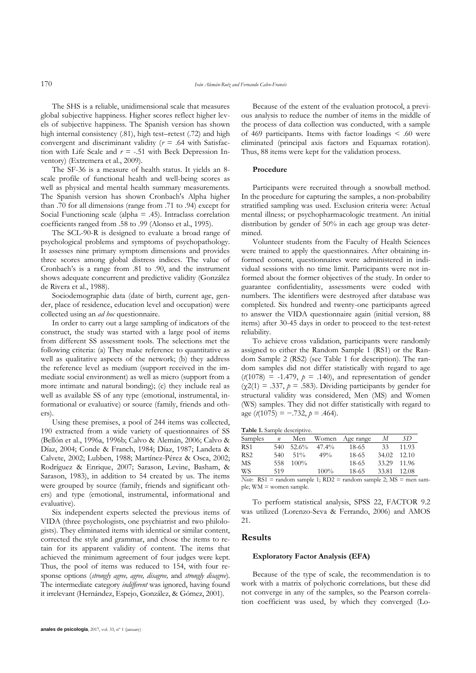The SHS is a reliable, unidimensional scale that measures global subjective happiness. Higher scores reflect higher levels of subjective happiness. The Spanish version has shown high internal consistency (.81), high test–retest (.72) and high convergent and discriminant validity (*r* = .64 with Satisfaction with Life Scale and  $r = -.51$  with Beck Depression Inventory) (Extremera et al., 2009).

The SF-36 is a measure of health status. It yields an 8 scale profile of functional health and well-being scores as well as physical and mental health summary measurements. The Spanish version has shown Cronbach's Alpha higher than .70 for all dimensions (range from .71 to .94) except for Social Functioning scale (alpha  $= .45$ ). Intraclass correlation coefficients ranged from .58 to .99 (Alonso et al., 1995).

The SCL-90-R is designed to evaluate a broad range of psychological problems and symptoms of psychopathology. It assesses nine primary symptom dimensions and provides three scores among global distress indices. The value of Cronbach's is a range from .81 to .90, and the instrument shows adequate concurrent and predictive validity (González de Rivera et al., 1988).

Sociodemographic data (date of birth, current age, gender, place of residence, education level and occupation) were collected using an *ad hoc* questionnaire.

In order to carry out a large sampling of indicators of the construct, the study was started with a large pool of items from different SS assessment tools. The selections met the following criteria: (a) They make reference to quantitative as well as qualitative aspects of the network; (b) they address the reference level as medium (support received in the immediate social environment) as well as micro (support from a more intimate and natural bonding); (c) they include real as well as available SS of any type (emotional, instrumental, informational or evaluative) or source (family, friends and others).

Using these premises, a pool of 244 items was collected, 190 extracted from a wide variety of questionnaires of SS (Bellón et al., 1996a, 1996b; Calvo & Alemán, 2006; Calvo & Díaz, 2004; Conde & Franch, 1984; Díaz, 1987; Landeta & Calvete, 2002; Lubben, 1988; Martínez-Pérez & Osca, 2002; Rodríguez & Enrique, 2007; Sarason, Levine, Basham, & Sarason, 1983), in addition to 54 created by us. The items were grouped by source (family, friends and significant others) and type (emotional, instrumental, informational and evaluative).

Six independent experts selected the previous items of VIDA (three psychologists, one psychiatrist and two philologists). They eliminated items with identical or similar content, corrected the style and grammar, and chose the items to retain for its apparent validity of content. The items that achieved the minimum agreement of four judges were kept. Thus, the pool of items was reduced to 154, with four response options (*strongly agree, agree, disagree,* and *strongly disagree*). The intermediate category *indifferent* was ignored, having found it irrelevant (Hernández, Espejo, González, & Gómez, 2001).

Because of the extent of the evaluation protocol, a previous analysis to reduce the number of items in the middle of the process of data collection was conducted, with a sample of 469 participants. Items with factor loadings < .60 were eliminated (principal axis factors and Equamax rotation). Thus, 88 items were kept for the validation process.

### **Procedure**

Participants were recruited through a snowball method. In the procedure for capturing the samples, a non-probability stratified sampling was used. Exclusion criteria were: Actual mental illness; or psychopharmacologic treatment. An initial distribution by gender of 50% in each age group was determined.

Volunteer students from the Faculty of Health Sciences were trained to apply the questionnaires. After obtaining informed consent, questionnaires were administered in individual sessions with no time limit. Participants were not informed about the former objectives of the study. In order to guarantee confidentiality, assessments were coded with numbers. The identifiers were destroyed after database was completed. Six hundred and twenty-one participants agreed to answer the VIDA questionnaire again (initial version, 88 items) after 30-45 days in order to proceed to the test-retest reliability.

To achieve cross validation, participants were randomly assigned to either the Random Sample 1 (RS1) or the Random Sample 2 (RS2) (see Table 1 for description). The random samples did not differ statistically with regard to age  $(t(1078) = -1.479, p = .140)$ , and representation of gender  $(\chi^2(1) = .337, p = .583)$ . Dividing participants by gender for structural validity was considered, Men (MS) and Women (WS) samples. They did not differ statistically with regard to age (*t*(1075) = −.732, *p* = .464).

| Samples         | n   | Men     | Women    | Age range | М     | SD    |
|-----------------|-----|---------|----------|-----------|-------|-------|
| RS <sub>1</sub> | 540 | 52.6%   | $47.4\%$ | 18-65     | 33    | 11.93 |
| RS <sub>2</sub> | 540 | $51\%$  | $49\%$   | 18-65     | 34.02 | 12.10 |
| MS              | 558 | $100\%$ |          | 18-65     | 33.29 | 11.96 |
| WS              | 519 |         | $100\%$  | 18-65     | 33.81 | 12.08 |
|                 |     |         |          |           |       |       |

*Note*:  $RS1 =$  random sample 1;  $RD2 =$  random sample 2;  $MS =$  men sample; WM = women sample.

To perform statistical analysis, SPSS 22, FACTOR 9.2 was utilized (Lorenzo-Seva & Ferrando, 2006) and AMOS 21.

### **Results**

#### **Exploratory Factor Analysis (EFA)**

Because of the type of scale, the recommendation is to work with a matrix of polychoric correlations, but these did not converge in any of the samples, so the Pearson correlation coefficient was used, by which they converged (Lo-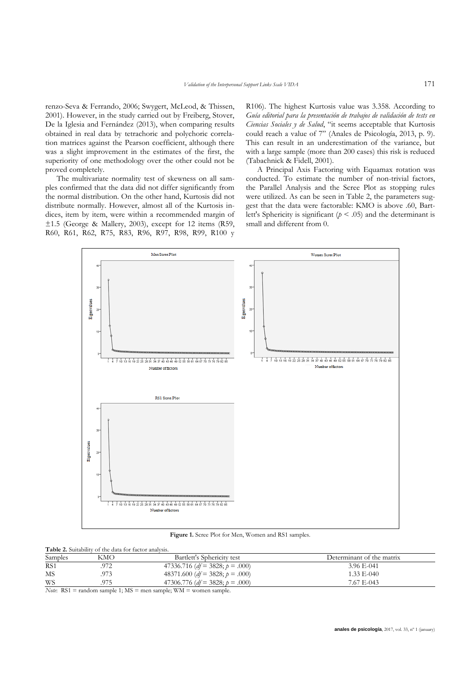renzo-Seva & Ferrando, 2006; Swygert, McLeod, & Thissen, 2001). However, in the study carried out by Freiberg, Stover, De la Iglesia and Fernández (2013), when comparing results obtained in real data by tetrachoric and polychoric correlation matrices against the Pearson coefficient, although there was a slight improvement in the estimates of the first, the superiority of one methodology over the other could not be proved completely.

The multivariate normality test of skewness on all samples confirmed that the data did not differ significantly from the normal distribution. On the other hand, Kurtosis did not distribute normally. However, almost all of the Kurtosis indices, item by item, were within a recommended margin of ±1.5 (George & Mallery, 2003), except for 12 items (R59, R60, R61, R62, R75, R83, R96, R97, R98, R99, R100 y

R106). The highest Kurtosis value was 3.358. According to *Guía editorial para la presentación de trabajos de validación de tests en Ciencias Sociales y de Salud*, "it seems acceptable that Kurtosis could reach a value of 7" (Anales de Psicología, 2013, p. 9). This can result in an underestimation of the variance, but with a large sample (more than 200 cases) this risk is reduced (Tabachnick & Fidell, 2001).

A Principal Axis Factoring with Equamax rotation was conducted. To estimate the number of non-trivial factors, the Parallel Analysis and the Scree Plot as stopping rules were utilized. As can be seen in Table 2, the parameters suggest that the data were factorable: KMO is above .60, Bartlett's Sphericity is significant ( $p < .05$ ) and the determinant is small and different from 0.



**Figure 1.** Scree Plot for Men, Women and RS1 samples.

| <b>Table 2.</b> Suitability of the data for factor analysis. |     |                                        |                           |  |  |  |  |  |
|--------------------------------------------------------------|-----|----------------------------------------|---------------------------|--|--|--|--|--|
| Samples                                                      | KMO | Bartlett's Sphericity test             | Determinant of the matrix |  |  |  |  |  |
| RS <sub>1</sub>                                              | 972 | 47336.716 ( $df = 3828$ ; $p = .000$ ) | 3.96 E-041                |  |  |  |  |  |
| МS                                                           | 973 | 48371.600 ( $df = 3828$ ; $p = .000$ ) | $1.33$ E <sub>-040</sub>  |  |  |  |  |  |
| WS                                                           | 975 | 47306.776 ( $df = 3828$ ; $p = .000$ ) | 7.67 E-043                |  |  |  |  |  |

*Note*: RS1 = random sample 1; MS = men sample; WM = women sample.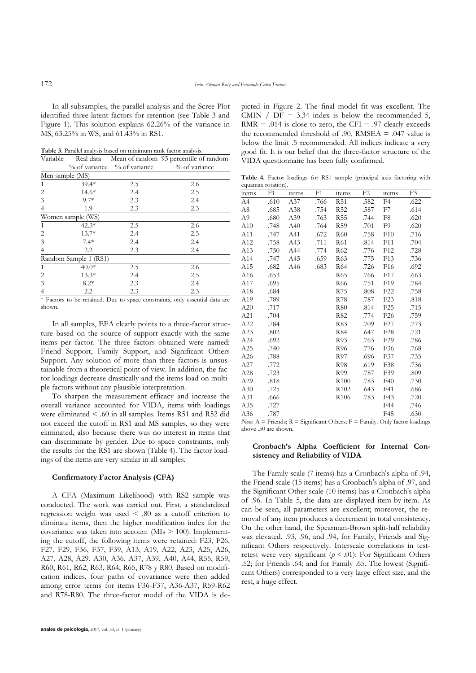In all subsamples, the parallel analysis and the Scree Plot identified three latent factors for retention (see Table 3 and Figure 1). This solution explains 62.26% of the variance in MS, 63.25% in WS, and 61.43% in RS1.

**Table 3.** Parallel analysis based on minimum rank factor analysis.

| Variable        |                       |                                 | Real data Mean of random 95 percentile of random |  |  |  |
|-----------------|-----------------------|---------------------------------|--------------------------------------------------|--|--|--|
|                 |                       | $%$ of variance $%$ of variance | % of variance                                    |  |  |  |
| Men sample (MS) |                       |                                 |                                                  |  |  |  |
| 1               | $39.4*$               | 2.5                             | 2.6                                              |  |  |  |
| 2               | $14.6*$               | 2.4                             | 2.5                                              |  |  |  |
| 3               | $9.7*$                | 2.3                             | 2.4                                              |  |  |  |
| 4               | 1.9                   | 2.3                             | 2.3                                              |  |  |  |
|                 | Women sample (WS)     |                                 |                                                  |  |  |  |
| 1               | $42.3*$               | 2.5                             | 2.6                                              |  |  |  |
| 2               | $13.7*$               | 2.4                             | 2.5                                              |  |  |  |
| 3               | $7.4*$                | 2.4                             | 2.4                                              |  |  |  |
| 4               | $2.2\,$               | 2.3                             | 2.4                                              |  |  |  |
|                 | Random Sample 1 (RS1) |                                 |                                                  |  |  |  |
| $\mathbf{1}$    | $40.0*$               | 2.5                             | 2.6                                              |  |  |  |
| 2               | $13.3*$               | 2.4                             | 2.5                                              |  |  |  |
| 3               | $8.2*$                | 2.3                             | 2.4                                              |  |  |  |
| 4               | 2.2                   | 2.3                             | 2.3                                              |  |  |  |

<sup>\*</sup> Factors to be retained. Due to space constraints, only essential data are shown.

In all samples, EFA clearly points to a three-factor structure based on the source of support exactly with the same items per factor. The three factors obtained were named: Friend Support, Family Support, and Significant Others Support. Any solution of more than three factors is unsustainable from a theoretical point of view. In addition, the factor loadings decrease drastically and the items load on multiple factors without any plausible interpretation.

To sharpen the measurement efficacy and increase the overall variance accounted for VIDA, items with loadings were eliminated < .60 in all samples. Items R51 and R52 did not exceed the cutoff in RS1 and MS samples, so they were eliminated, also because there was no interest in items that can discriminate by gender. Due to space constraints, only the results for the RS1 are shown (Table 4). The factor loadings of the items are very similar in all samples.

### **Confirmatory Factor Analysis (CFA)**

A CFA (Maximum Likelihood) with RS2 sample was conducted. The work was carried out. First, a standardized regression weight was used < .80 as a cutoff criterion to eliminate items, then the higher modification index for the covariance was taken into account  $(MIs > 100)$ . Implementing the cutoff, the following items were retained: F23, F26, F27, F29, F36, F37, F39, A13, A19, A22, A23, A25, A26, A27, A28, A29, A30, A36, A37, A39, A40, A44, R55, R59, R60, R61, R62, R63, R64, R65, R78 y R80. Based on modification indices, four paths of covariance were then added among error terms for items F36-F37, A36-A37, R59-R62 and R78-R80. The three-factor model of the VIDA is depicted in Figure 2. The final model fit was excellent. The CMIN /  $DF = 3.34$  index is below the recommended 5, RMR = .014 is close to zero, the CFI = .97 clearly exceeds the recommended threshold of .90, RMSEA = .047 value is below the limit .5 recommended. All indices indicate a very good fit. It is our belief that the three-factor structure of the VIDA questionnaire has been fully confirmed.

**Table 4.** Factor loadings for RS1 sample (principal axis factoring with equamax rotation).

| <b>items</b>    | F1   | items | F1   | items            | F <sub>2</sub> | items           | F3   |
|-----------------|------|-------|------|------------------|----------------|-----------------|------|
| A4              | .610 | A37   | .766 | <b>R51</b>       | .582           | F <sub>4</sub>  | .622 |
| A8              | .685 | A38   | .754 | R <sub>52</sub>  | .587           | F7              | .614 |
| A <sub>9</sub>  | .680 | A39   | .763 | R <sub>55</sub>  | .744           | F8              | .620 |
| A10             | .748 | A40   | .764 | R <sub>59</sub>  | .701           | F9              | .620 |
| A11             | .747 | A41   | .672 | R60              | .758           | F10             | .716 |
| A12             | .758 | A43   | .711 | R61              | .814           | F11             | .704 |
| A13             | .750 | A44   | .774 | R62              | .776           | F12             | .728 |
| A14             | .747 | A45   | .659 | R63              | .775           | F <sub>13</sub> | .736 |
| A15             | .682 | A46   | .683 | R64              | .726           | F <sub>16</sub> | .692 |
| A <sub>16</sub> | .653 |       |      | R65              | .766           | F <sub>17</sub> | .663 |
| A17             | .695 |       |      | R <sub>66</sub>  | .751           | F <sub>19</sub> | .784 |
| A18             | .684 |       |      | R75              | .808           | F <sub>22</sub> | .758 |
| A19             | .789 |       |      | R78              | .787           | F23             | .818 |
| A20             | .717 |       |      | <b>R80</b>       | .814           | F <sub>25</sub> | .715 |
| A21             | .704 |       |      | R82              | .774           | F <sub>26</sub> | .759 |
| A22             | .784 |       |      | R83              | .709           | F <sub>27</sub> | .773 |
| A23             | .802 |       |      | <b>R84</b>       | .647           | F <sub>28</sub> | .721 |
| A24             | .692 |       |      | R93              | .763           | F <sub>29</sub> | .786 |
| A25             | .740 |       |      | R <sub>96</sub>  | .776           | F36             | .768 |
| A26             | .788 |       |      | R97              | .696           | F37             | .735 |
| A27             | .772 |       |      | <b>R98</b>       | .619           | F38             | .736 |
| A28             | .723 |       |      | R99              | .787           | F39             | .809 |
| A29             | .818 |       |      | R <sub>100</sub> | .783           | F40             | .730 |
| A30             | .725 |       |      | R <sub>102</sub> | .643           | F41             | .686 |
| A31             | .666 |       |      | R <sub>106</sub> | .783           | F43             | .720 |
| A35             | .727 |       |      |                  |                | F44             | .746 |
| A36             | .787 |       |      |                  |                | F45             | .630 |

*Note*:  $A =$  Friends;  $R =$  Significant Others;  $F =$  Family. Only factor loadings above .50 are shown.

### **Cronbach's Alpha Coefficient for Internal Consistency and Reliability of VIDA**

The Family scale (7 items) has a Cronbach's alpha of .94, the Friend scale (15 items) has a Cronbach's alpha of .97, and the Significant Other scale (10 items) has a Cronbach's alpha of .96. In Table 5, the data are displayed item-by-item. As can be seen, all parameters are excellent; moreover, the removal of any item produces a decrement in total consistency. On the other hand, the Spearman-Brown split-half reliability was elevated, .93, .96, and .94, for Family, Friends and Significant Others respectively. Interscale correlations in testretest were very significant ( $p \le 0.01$ ): For Significant Others .52; for Friends .64; and for Family .65. The lowest (Significant Others) corresponded to a very large effect size, and the rest, a huge effect.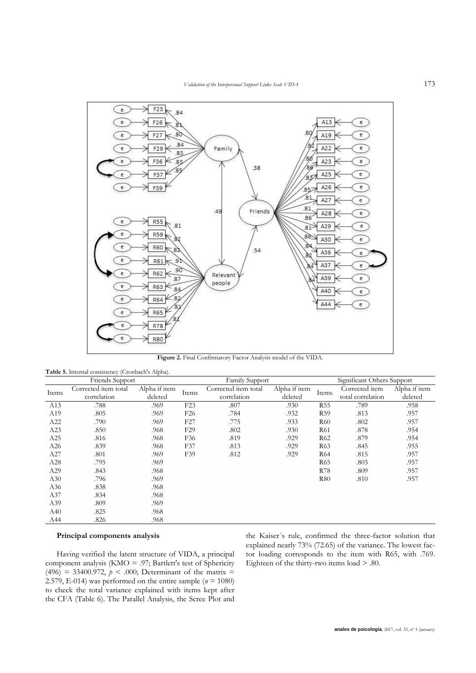

**Figure 2.** Final Confirmatory Factor Analysis model of the VIDA.

| Friends Support |                      |               |                 | Family Support       |               |                  | Significant Others Support |               |  |
|-----------------|----------------------|---------------|-----------------|----------------------|---------------|------------------|----------------------------|---------------|--|
|                 | Corrected item total | Alpha if item | Items           | Corrected item total | Alpha if item | Items            | Corrected item             | Alpha if item |  |
| Items           | correlation          | deleted       |                 | correlation          | deleted       |                  | total correlation          | deleted       |  |
| A13             | .788                 | .969          | F23             | .807                 | .930          | R <sub>55</sub>  | .789                       | .958          |  |
| A19             | .805                 | .969          | F <sub>26</sub> | .784                 | .932          | R <sub>59</sub>  | .813                       | .957          |  |
| A22             | .790                 | .969          | F27             | .775                 | .933          | <b>R60</b>       | .802                       | .957          |  |
| A23             | .850                 | .968          | F <sub>29</sub> | .802                 | .930          | R61              | .878                       | .954          |  |
| A25             | .816                 | .968          | F36             | .819                 | .929          | R <sub>62</sub>  | .879                       | .954          |  |
| A26             | .839                 | .968          | F37             | .813                 | .929          | R <sub>6</sub> 3 | .845                       | .955          |  |
| A27             | .801                 | .969          | F39             | .812                 | .929          | R64              | .815                       | .957          |  |
| A28             | .795                 | .969          |                 |                      |               | R <sub>65</sub>  | .803                       | .957          |  |
| A29             | .843                 | .968          |                 |                      |               | <b>R78</b>       | .809                       | .957          |  |
| A30             | .796                 | .969          |                 |                      |               | <b>R80</b>       | .810                       | .957          |  |
| A36             | .838                 | .968          |                 |                      |               |                  |                            |               |  |
| A37             | .834                 | .968          |                 |                      |               |                  |                            |               |  |
| A39             | .809                 | .969          |                 |                      |               |                  |                            |               |  |
| A40             | .825                 | .968          |                 |                      |               |                  |                            |               |  |
| A44             | .826                 | .968          |                 |                      |               |                  |                            |               |  |

### **Table 5.** Internal consistency (Cronbach's Alpha).

# **Principal components analysis**

Having verified the latent structure of VIDA, a principal component analysis (KMO = .97; Bartlett's test of Sphericity (496) = 33400.972,  $p < .000$ ; Determinant of the matrix = 2.579, E-014) was performed on the entire sample ( $n = 1080$ ) to check the total variance explained with items kept after the CFA (Table 6). The Parallel Analysis, the Scree Plot and

the Kaiser´s rule, confirmed the three-factor solution that explained nearly 73% (72.65) of the variance. The lowest factor loading corresponds to the item with R65, with .769. Eighteen of the thirty-two items load > .80.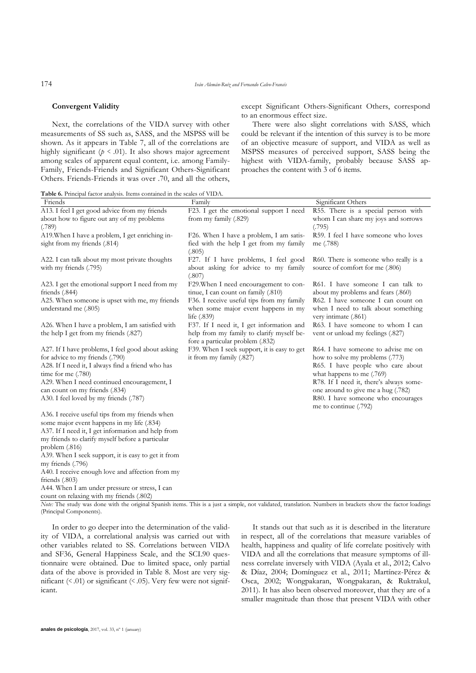#### **Convergent Validity**

except Significant Others-Significant Others, correspond to an enormous effect size.

Next, the correlations of the VIDA survey with other measurements of SS such as, SASS, and the MSPSS will be shown. As it appears in Table 7, all of the correlations are highly significant  $(p \le 0.01)$ . It also shows major agreement among scales of apparent equal content, i.e. among Family-Family, Friends-Friends and Significant Others-Significant Others. Friends-Friends it was over .70, and all the others,

There were also slight correlations with SASS, which could be relevant if the intention of this survey is to be more of an objective measure of support, and VIDA as well as MSPSS measures of perceived support, SASS being the highest with VIDA-family, probably because SASS approaches the content with 3 of 6 items.

**Table 6.** Principal factor analysis. Items contained in the scales of VIDA.

| Friends                                                                                                                                                                                                                                                                                                                                         | Family                                                                                                      | Significant Others                                                                                                                                                                                                                                                                       |
|-------------------------------------------------------------------------------------------------------------------------------------------------------------------------------------------------------------------------------------------------------------------------------------------------------------------------------------------------|-------------------------------------------------------------------------------------------------------------|------------------------------------------------------------------------------------------------------------------------------------------------------------------------------------------------------------------------------------------------------------------------------------------|
| A13. I feel I get good advice from my friends                                                                                                                                                                                                                                                                                                   | F23. I get the emotional support I need                                                                     | R55. There is a special person with                                                                                                                                                                                                                                                      |
| about how to figure out any of my problems                                                                                                                                                                                                                                                                                                      | from my family (.829)                                                                                       | whom I can share my joys and sorrows                                                                                                                                                                                                                                                     |
| (.789)                                                                                                                                                                                                                                                                                                                                          |                                                                                                             | (.795)                                                                                                                                                                                                                                                                                   |
| A19. When I have a problem, I get enriching in-                                                                                                                                                                                                                                                                                                 | F26. When I have a problem, I am satis-                                                                     | R59. I feel I have someone who loves                                                                                                                                                                                                                                                     |
| sight from my friends (.814)                                                                                                                                                                                                                                                                                                                    | fied with the help I get from my family<br>(.805)                                                           | me (.788)                                                                                                                                                                                                                                                                                |
| A22. I can talk about my most private thoughts<br>with my friends (.795)                                                                                                                                                                                                                                                                        | F27. If I have problems, I feel good<br>about asking for advice to my family<br>(.807)                      | R60. There is someone who really is a<br>source of comfort for me (.806)                                                                                                                                                                                                                 |
| A23. I get the emotional support I need from my<br>friends (.844)                                                                                                                                                                                                                                                                               | F29. When I need encouragement to con-<br>tinue, I can count on family (.810)                               | R61. I have someone I can talk to<br>about my problems and fears (.860)                                                                                                                                                                                                                  |
| A25. When someone is upset with me, my friends<br>understand me (.805)                                                                                                                                                                                                                                                                          | F36. I receive useful tips from my family<br>when some major event happens in my<br>life $(.839)$           | R62. I have someone I can count on<br>when I need to talk about something<br>very intimate (.861)                                                                                                                                                                                        |
| A26. When I have a problem, I am satisfied with<br>the help I get from my friends (.827)                                                                                                                                                                                                                                                        | F37. If I need it, I get information and<br>help from my family to clarify myself be-                       | R63. I have someone to whom I can<br>vent or unload my feelings (.827)                                                                                                                                                                                                                   |
| A27. If I have problems, I feel good about asking<br>for advice to my friends (.790)<br>A28. If I need it, I always find a friend who has<br>time for me $(.780)$<br>A29. When I need continued encouragement, I<br>can count on my friends (.834)<br>A30. I feel loved by my friends (.787)<br>A36. I receive useful tips from my friends when | fore a particular problem (.832)<br>F39. When I seek support, it is easy to get<br>it from my family (.827) | R64. I have someone to advise me on<br>how to solve my problems (.773)<br>R65. I have people who care about<br>what happens to me (.769)<br>R78. If I need it, there's always some-<br>one around to give me a hug (.782)<br>R80. I have someone who encourages<br>me to continue (.792) |
| some major event happens in my life (.834)<br>A37. If I need it, I get information and help from<br>my friends to clarify myself before a particular<br>problem $(.816)$                                                                                                                                                                        |                                                                                                             |                                                                                                                                                                                                                                                                                          |
| A39. When I seek support, it is easy to get it from                                                                                                                                                                                                                                                                                             |                                                                                                             |                                                                                                                                                                                                                                                                                          |
| my friends (.796)                                                                                                                                                                                                                                                                                                                               |                                                                                                             |                                                                                                                                                                                                                                                                                          |
| A40. I receive enough love and affection from my                                                                                                                                                                                                                                                                                                |                                                                                                             |                                                                                                                                                                                                                                                                                          |
| friends $(.803)$                                                                                                                                                                                                                                                                                                                                |                                                                                                             |                                                                                                                                                                                                                                                                                          |
| A44. When I am under pressure or stress, I can<br>count on relaxing with my friends (.802)                                                                                                                                                                                                                                                      |                                                                                                             |                                                                                                                                                                                                                                                                                          |

*Note:* The study was done with the original Spanish items. This is a just a simple, not validated, translation. Numbers in brackets show the factor loadings (Principal Components).

In order to go deeper into the determination of the validity of VIDA, a correlational analysis was carried out with other variables related to SS. Correlations between VIDA and SF36, General Happiness Scale, and the SCL90 questionnaire were obtained. Due to limited space, only partial data of the above is provided in Table 8. Most are very significant (< .01) or significant (< .05). Very few were not significant.

It stands out that such as it is described in the literature in respect, all of the correlations that measure variables of health, happiness and quality of life correlate positively with VIDA and all the correlations that measure symptoms of illness correlate inversely with VIDA (Ayala et al., 2012; Calvo & Díaz, 2004; Domínguez et al., 2011; Martínez-Pérez & Osca, 2002; Wongpakaran, Wongpakaran, & Ruktrakul, 2011). It has also been observed moreover, that they are of a smaller magnitude than those that present VIDA with other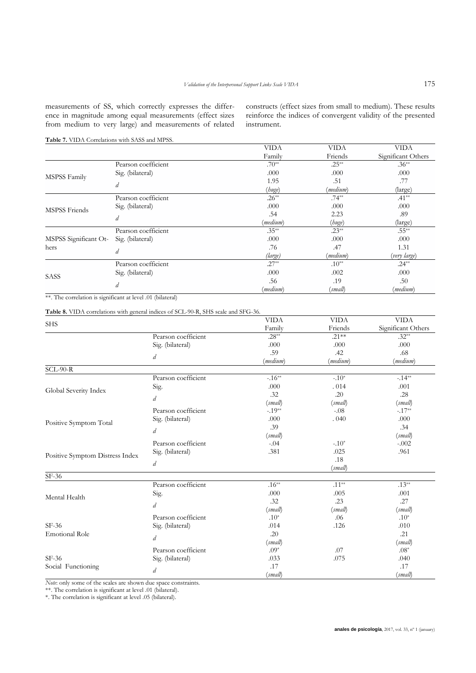measurements of SS, which correctly expresses the difference in magnitude among equal measurements (effect sizes from medium to very large) and measurements of related

constructs (effect sizes from small to medium). These results reinforce the indices of convergent validity of the presented instrument.

# **Table 7.** VIDA Correlations with SASS and MPSS.

|                       |                     | <b>VIDA</b> | <b>VIDA</b> | <b>VIDA</b>        |
|-----------------------|---------------------|-------------|-------------|--------------------|
|                       |                     | Family      | Friends     | Significant Others |
|                       | Pearson coefficient | $.70**$     | $.25**$     | $.36**$            |
| MSPSS Family          | Sig. (bilateral)    | .000        | .000        | .000               |
|                       | d                   | 1.95        | .51         | .77                |
|                       |                     | (huge)      | (medium)    | (large)            |
|                       | Pearson coefficient | $.26**$     | $.74***$    | $.41**$            |
| <b>MSPSS Friends</b>  | Sig. (bilateral)    | .000        | .000        | .000               |
|                       |                     | .54         | 2.23        | .89                |
|                       | d                   | (medium)    | (huge)      | (large)            |
|                       | Pearson coefficient | $.35***$    | $.23**$     | $.55***$           |
| MSPSS Significant Ot- | Sig. (bilateral)    | .000        | .000        | .000               |
| hers                  |                     | .76         | .47         | 1.31               |
|                       | d                   | (large)     | (medium)    | (very large)       |
|                       | Pearson coefficient | $.27**$     | $.10**$     | $.24***$           |
| <b>SASS</b>           | Sig. (bilateral)    | .000        | .002        | .000               |
|                       |                     | .56         | .19         | .50                |
|                       | d                   | (medium)    | (small)     | (medium)           |

\*\*. The correlation is significant at level .01 (bilateral)

**Table 8.** VIDA correlations with general indices of SCL-90-R, SHS scale and SFG-36.

| <b>SHS</b>                      |                     | <b>VIDA</b> | <b>VIDA</b> | <b>VIDA</b>        |
|---------------------------------|---------------------|-------------|-------------|--------------------|
|                                 |                     | Family      | Friends     | Significant Others |
|                                 | Pearson coefficient | $.28**$     | $.21**$     | $.32**$            |
|                                 | Sig. (bilateral)    | .000        | .000        | .000               |
|                                 | d                   | .59         | .42         | .68                |
|                                 |                     | (medium)    | (medium)    | (medium)           |
| $SCL-90-R$                      |                     |             |             |                    |
|                                 | Pearson coefficient | $-.16**$    | $-.10*$     | $-.14**$           |
| Global Severity Index           | Sig.                | .000        | .014        | .001               |
|                                 | d                   | .32         | .20         | .28                |
|                                 |                     | (small)     | (small)     | (small)            |
|                                 | Pearson coefficient | $-.19**$    | $-.08$      | $-.17**$           |
| Positive Symptom Total          | Sig. (bilateral)    | .000        | .040        | .000               |
|                                 | d                   | .39         |             | .34                |
|                                 |                     | (small)     |             | (small)            |
|                                 | Pearson coefficient | $-.04$      | $-10*$      | $-.002$            |
| Positive Symptom Distress Index | Sig. (bilateral)    | .381        | .025        | .961               |
|                                 | d                   |             | .18         |                    |
|                                 |                     |             | (small)     |                    |
| $SF-36$                         |                     |             |             |                    |
|                                 | Pearson coefficient | $.16**$     | $.11**$     | $.13***$           |
| Mental Health                   | Sig.                | .000        | .005        | .001               |
|                                 | $\overline{d}$      | .32         | .23         | .27                |
|                                 |                     | (small)     | (small)     | (small)            |
|                                 | Pearson coefficient | $.10*$      | .06         | $.10*$             |
| $SF-36$                         | Sig. (bilateral)    | .014        | .126        | .010               |
| <b>Emotional Role</b>           | d                   | .20         |             | .21                |
|                                 |                     | (small)     |             | (small)            |
|                                 | Pearson coefficient | $.09*$      | .07         | $.08*$             |
| $SF-36$                         | Sig. (bilateral)    | .033        | .075        | .040               |
| Social Functioning              | d                   | .17         |             | .17                |
|                                 |                     | (small)     |             | (small)            |

*Note*: only some of the scales are shown due space constraints.

\*\*. The correlation is significant at level .01 (bilateral).

\*. The correlation is significant at level .05 (bilateral).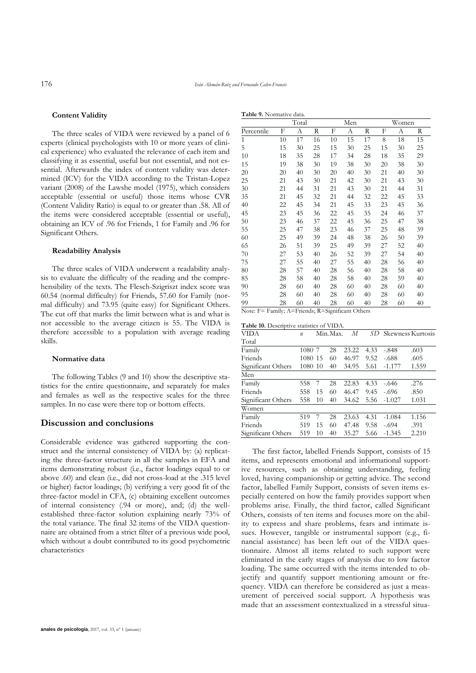**Table 9.** Normative data.

#### **Content Validity**

The three scales of VIDA were reviewed by a panel of 6 experts (clinical psychologists with 10 or more years of clinical experience) who evaluated the relevance of each item and classifying it as essential, useful but not essential, and not essential. Afterwards the index of content validity was determined (ICV) for the VIDA according to the Tristan-Lopez variant (2008) of the Lawshe model (1975), which considers acceptable (essential or useful) those items whose CVR (Content Validity Ratio) is equal to or greater than .58. All of the items were considered acceptable (essential or useful), obtaining an ICV of .96 for Friends, 1 for Family and .96 for Significant Others.

#### **Readability Analysis**

The three scales of VIDA underwent a readability analysis to evaluate the difficulty of the reading and the comprehensibility of the texts. The Flesch-Szigriszt index score was 60.54 (normal difficulty) for Friends, 57.60 for Family (normal difficulty) and 73.95 (quite easy) for Significant Others. The cut off that marks the limit between what is and what is not accessible to the average citizen is 55. The VIDA is therefore accessible to a population with average reading skills.

#### **Normative data**

The following Tables (9 and 10) show the descriptive statistics for the entire questionnaire, and separately for males and females as well as the respective scales for the three samples. In no case were there top or bottom effects.

### **Discussion and conclusions**

Considerable evidence was gathered supporting the construct and the internal consistency of VIDA by: (a) replicating the three-factor structure in all the samples in EFA and items demonstrating robust (i.e., factor loadings equal to or above .60) and clean (i.e., did not cross-load at the .315 level or higher) factor loadings; (b) verifying a very good fit of the three-factor model in CFA, (c) obtaining excellent outcomes of internal consistency (.94 or more), and; (d) the wellestablished three-factor solution explaining nearly 73% of the total variance. The final 32 items of the VIDA questionnaire are obtained from a strict filter of a previous wide pool, which without a doubt contributed to its good psychometric characteristics

|              |    | Total |    |    | Men |    |    | Women |    |
|--------------|----|-------|----|----|-----|----|----|-------|----|
| Percentile   | F  | А     | R  | F  | А   | R  | F  | А     | R  |
| $\mathbf{1}$ | 10 | 17    | 16 | 10 | 15  | 17 | 8  | 18    | 15 |
| 5            | 15 | 30    | 25 | 15 | 30  | 25 | 15 | 30    | 25 |
| 10           | 18 | 35    | 28 | 17 | 34  | 28 | 18 | 35    | 29 |
| 15           | 19 | 38    | 30 | 19 | 38  | 30 | 20 | 38    | 30 |
| 20           | 20 | 40    | 30 | 20 | 40  | 30 | 21 | 40    | 30 |
| 25           | 21 | 43    | 30 | 21 | 42  | 30 | 21 | 43    | 30 |
| 30           | 21 | 44    | 31 | 21 | 43  | 30 | 21 | 44    | 31 |
| 35           | 21 | 45    | 32 | 21 | 44  | 32 | 22 | 45    | 33 |
| 40           | 22 | 45    | 34 | 21 | 45  | 33 | 23 | 45    | 36 |
| 45           | 23 | 45    | 36 | 22 | 45  | 35 | 24 | 46    | 37 |
| 50           | 23 | 46    | 37 | 22 | 45  | 36 | 25 | 47    | 38 |
| 55           | 25 | 47    | 38 | 23 | 46  | 37 | 25 | 48    | 39 |
| 60           | 25 | 49    | 39 | 24 | 48  | 38 | 26 | 50    | 39 |
| 65           | 26 | 51    | 39 | 25 | 49  | 39 | 27 | 52    | 40 |
| 70           | 27 | 53    | 40 | 26 | 52  | 39 | 27 | 54    | 40 |
| 75           | 27 | 55    | 40 | 27 | 55  | 40 | 28 | 56    | 40 |
| 80           | 28 | 57    | 40 | 28 | 56  | 40 | 28 | 58    | 40 |
| 85           | 28 | 58    | 40 | 28 | 58  | 40 | 28 | 59    | 40 |
| 90           | 28 | 60    | 40 | 28 | 60  | 40 | 28 | 60    | 40 |
| 95           | 28 | 60    | 40 | 28 | 60  | 40 | 28 | 60    | 40 |
| 99           | 28 | 60    | 40 | 28 | 60  | 40 | 28 | 60    | 40 |

Note: F= Family; A=Friends; R=Significant Others

|  | Table 10. Descriptive statistics of VIDA. |  |  |
|--|-------------------------------------------|--|--|
|--|-------------------------------------------|--|--|

| VIDA               | $\boldsymbol{n}$ |    | Min. Max. | М     | SD   | Skewness Kurtosis |       |
|--------------------|------------------|----|-----------|-------|------|-------------------|-------|
| Total              |                  |    |           |       |      |                   |       |
| Family             | 1080             | 7  | 28        | 23.22 | 4.33 | -.848             | .603  |
| Friends            | 1080             | 15 | 60        | 46.97 | 9.52 | $-.688$           | .605  |
| Significant Others | 1080             | 10 | 40        | 34.95 | 5.61 | $-1.177$          | 1.559 |
| Men                |                  |    |           |       |      |                   |       |
| Family             | 558              |    | 28        | 22.83 | 4.33 | -.646             | .276  |
| Friends            | 558              | 15 | 60        | 46.47 | 9.45 | $-.696$           | .850  |
| Significant Others | 558              | 10 | 40        | 34.62 | 5.56 | $-1.027$          | 1.031 |
| Women              |                  |    |           |       |      |                   |       |
| Family             | 519              |    | 28        | 23.63 | 4.31 | $-1.084$          | 1.156 |
| Friends            | 519              | 15 | 60        | 47.48 | 9.58 | $-.694$           | .391  |
| Significant Others | 519              | 10 | 40        | 35.27 | 5.66 | $-1.345$          | 2.210 |

The first factor, labelled Friends Support, consists of 15 items, and represents emotional and informational supportive resources, such as obtaining understanding, feeling loved, having companionship or getting advice. The second factor, labelled Family Support, consists of seven items especially centered on how the family provides support when problems arise. Finally, the third factor, called Significant Others, consists of ten items and focuses more on the ability to express and share problems, fears and intimate issues. However, tangible or instrumental support (e.g., financial assistance) has been left out of the VIDA questionnaire. Almost all items related to such support were eliminated in the early stages of analysis due to low factor loading. The same occurred with the items intended to objectify and quantify support mentioning amount or frequency. VIDA can therefore be considered as just a measurement of perceived social support. A hypothesis was made that an assessment contextualized in a stressful situa-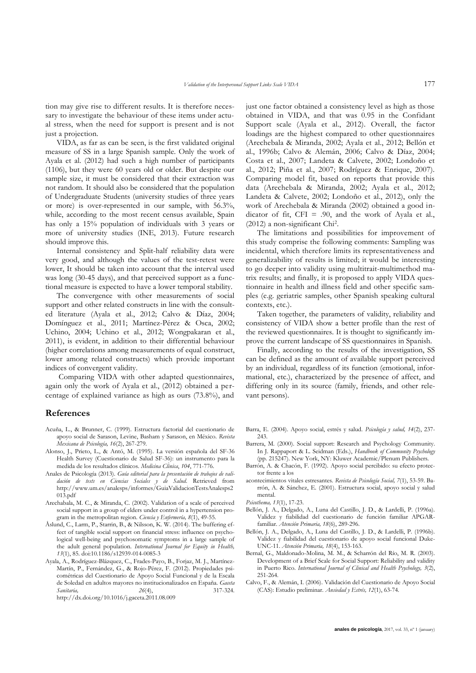tion may give rise to different results. It is therefore necessary to investigate the behaviour of these items under actual stress, when the need for support is present and is not just a projection.

VIDA, as far as can be seen, is the first validated original measure of SS in a large Spanish sample. Only the work of Ayala et al. (2012) had such a high number of participants (1106), but they were 60 years old or older. But despite our sample size, it must be considered that their extraction was not random. It should also be considered that the population of Undergraduate Students (university studies of three years or more) is over-represented in our sample, with 56.3%, while, according to the most recent census available, Spain has only a 15% population of individuals with 3 years or more of university studies (INE, 2013). Future research should improve this.

Internal consistency and Split-half reliability data were very good, and although the values of the test-retest were lower, It should be taken into account that the interval used was long (30-45 days), and that perceived support as a functional measure is expected to have a lower temporal stability.

The convergence with other measurements of social support and other related constructs in line with the consulted literature (Ayala et al., 2012; Calvo & Díaz, 2004; Domínguez et al., 2011; Martínez-Pérez & Osca, 2002; Uchino, 2004; Uchino et al., 2012; Wongpakaran et al., 2011), is evident, in addition to their differential behaviour (higher correlations among measurements of equal construct, lower among related constructs) which provide important indices of convergent validity.

Comparing VIDA with other adapted questionnaires, again only the work of Ayala et al., (2012) obtained a percentage of explained variance as high as ours (73.8%), and

### **References**

- Acuña, L., & Brunner, C. (1999). Estructura factorial del cuestionario de apoyo social de Sarason, Levine, Basham y Sarason, en México. *Revista Mexicana de Psicología, 16*(2), 267-279.
- Alonso, J., Prieto, L., & Antó, M. (1995). La versión española del SF-36 Health Survey (Cuestionario de Salud SF-36): un instrumento para la medida de los resultados clínicos. *Medicina Cli*́*nica*, *104*, 771-776.
- Anales de Psicología (2013). *Guía editorial para la presentación de trabajos de validación de tests en Ciencias Sociales y de Salud*. Retrieved from http://www.um.es/analesps/informes/GuiaValidacionTestsAnalesps2 013.pdf
- Arechabala, M. C., & Miranda, C. (2002). Validation of a scale of perceived social support in a group of elders under control in a hypertension program in the metropolitan region. *Ciencia y Enfermería, 8*(1), 49-55.
- Åslund, C., Larm, P., Starrin, B., & Nilsson, K. W. (2014). The buffering effect of tangible social support on financial stress: influence on psychological well-being and psychosomatic symptoms in a large sample of the adult general population. *International Journal for Equity in Health, 13*(1), 85. doi:10.1186/s12939-014-0085-3
- Ayala, A., Rodríguez-Blázquez, C., Frades-Payo, B., Forjaz, M. J., Martínez-Martín, P., Fernández, G., & Rojo-Pérez, F. (2012). Propiedades psicométricas del Cuestionario de Apoyo Social Funcional y de la Escala de Soledad en adultos mayores no institucionalizados en España. *Gaceta Sanitaria, 26*(4), 317-324.

http://dx.doi.org/10.1016/j.gaceta.2011.08.009

just one factor obtained a consistency level as high as those obtained in VIDA, and that was 0.95 in the Confidant Support scale (Ayala et al., 2012). Overall, the factor loadings are the highest compared to other questionnaires (Arechebala & Miranda, 2002; Ayala et al., 2012; Bellón et al., 1996b; Calvo & Alemán, 2006; Calvo & Díaz, 2004; Costa et al., 2007; Landeta & Calvete, 2002; Londoño et al., 2012; Piña et al., 2007; Rodríguez & Enrique, 2007). Comparing model fit, based on reports that provide this data (Arechebala & Miranda, 2002; Ayala et al., 2012; Landeta & Calvete, 2002; Londoño et al., 2012), only the work of Arechebala & Miranda (2002) obtained a good indicator of fit,  $CFI = .90$ , and the work of Ayala et al., (2012) a non-significant Chi<sup>2</sup> .

The limitations and possibilities for improvement of this study comprise the following comments: Sampling was incidental, which therefore limits its representativeness and generalizability of results is limited; it would be interesting to go deeper into validity using multitrait-multimethod matrix results; and finally, it is proposed to apply VIDA questionnaire in health and illness field and other specific samples (e.g. geriatric samples, other Spanish speaking cultural contexts, etc.).

Taken together, the parameters of validity, reliability and consistency of VIDA show a better profile than the rest of the reviewed questionnaires. It is thought to significantly improve the current landscape of SS questionnaires in Spanish.

Finally, according to the results of the investigation, SS can be defined as the amount of available support perceived by an individual, regardless of its function (emotional, informational, etc.), characterized by the presence of affect, and differing only in its source (family, friends, and other relevant persons).

- Barra, E. (2004). Apoyo social, estrés y salud. *Psicología y salud, 14*(2), 237- 243.
- Barrera, M. (2000). Social support: Research and Psychology Community. In J. Rappaport & L. Seidman (Eds.), *Handbook of Community Psychology*  (pp. 215247). New York, NY: Kluwer Academic/Plenum Publishers.
- Barrón, A. & Chacón, F. (1992). Apoyo social percibido: su efecto protector frente a los
- acontecimientos vitales estresantes. *Revista de Psicología Social, 7*(1), 53-59. Barrón, A. & Sánchez, E. (2001). Estructura social, apoyo social y salud mental.

*Psicothema, 13*(1), 17-23.

- Bellón, J. A., Delgado, A., Luna del Castillo, J. D., & Lardelli, P. (1996a). Validez y fiabilidad del cuestionario de función familiar APGARfamiliar. *Atención Primaria, 18*(6), 289-296.
- Bellón, J. A., Delgado, A., Luna del Castillo, J. D., & Lardelli, P. (1996b). Validez y fiabilidad del cuestionario de apoyo social funcional Duke-UNC-11. *Atención Primaria, 18*(4), 153-163.
- Bernal, G., Maldonado-Molina, M. M., & Scharrón del Río, M. R. (2003). Development of a Brief Scale for Social Support: Reliability and validity in Puerto Rico. *International Journal of Clinical and Health Psychology, 3*(2), 251-264.
- Calvo, F., & Alemán, I. (2006). Validación del Cuestionario de Apoyo Social (CAS): Estudio preliminar. *Ansiedad y Estrés, 12*(1), 63-74.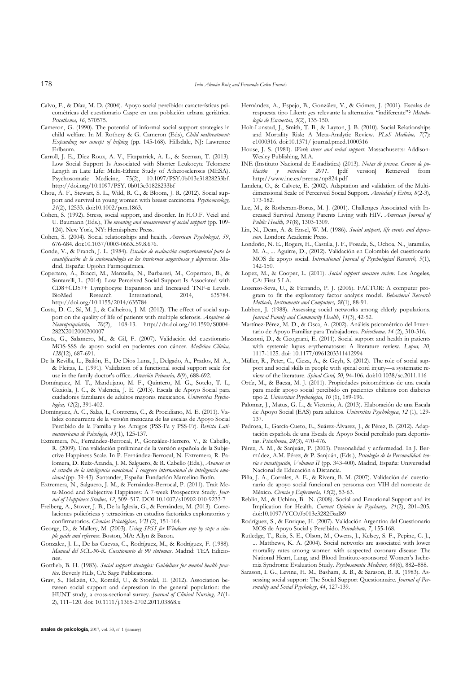- Calvo, F., & Díaz, M. D. (2004). Apoyo social percibido: características psicométricas del cuestionario Caspe en una población urbana geriátrica. *Psicothema, 16*, 570575.
- Cameron, G. (1990). The potential of informal social support strategies in child welfare. In M. Rothery & G. Cameron (Eds), *Child maltreatment: Expanding our concept of helping* (pp. 145-168). Hillsdale, NJ: Lawrence Erlbaum.
- Carroll, J. E., Diez Roux, A. V., Fitzpatrick, A. L., & Seeman, T. (2013). Low Social Support Is Associated with Shorter Leukocyte Telomere Length in Late Life: Multi-Ethnic Study of Atherosclerosis (MESA). Psychosomatic Medicine, 75(2), 10.1097/PSY.0b013e31828233bf. [http://doi.org/10.1097/PSY.](http://doi.org/10.1097/PSY) 0b013e31828233bf
- Chou, A. F., Stewart, S. L., Wild, R. C., & Bloom, J. R. (2012). Social support and survival in young women with breast carcinoma. *Psychooncology, 21*(2), 12533. doi:10.1002/pon.1863.
- Cohen, S. (1992). Stress, social support, and disorder. In H.O.F. Veiel and U. Baumann (Eds.), *The meaning and measurement of social support* (pp. 109- 124). New York, NY: Hemisphere Press.
- Cohen, S. (2004). Social relationships and health. *American Psychologist, 59*, 676-684. doi:10.1037/0003-066X.59.8.676.
- Conde, V., & Franch, J. L. (1984). *Escalas de evaluación comportamental para la cuantificación de la sintomatología en los trastornos angustiosos y depresivos*. Madrid, España: Upjohn Farmoquímica.
- Copertaro, A., Bracci, M., Manzella, N., Barbaresi, M., Copertaro, B., & Santarelli, L. (2014). Low Perceived Social Support Is Associated with CD8+CD57+ Lymphocyte Expansion and Increased TNF-α Levels. BioMed Research International, 2014, 635784. http://doi.org/10.1155/2014/635784
- Costa, D. C., Sá, M. J., & Calheiros, J. M. (2012). The effect of social support on the quality of life of patients with multiple sclerosis. *Arquivos de Neuropsiquiatria, 70*(2), 108-13. http://dx.doi.org/10.1590/S0004- 282X2012000200007
- Costa, G., Salamero, M., & Gil, F. (2007). Validación del cuestionario MOS-SSS de apoyo social en pacientes con cáncer*. Medicina Clínica, 128*(12), 687-691.
- De la Revilla, L., Bailón, E., De Dios Luna, J., Delgado, A., Prados, M. A., & Fleitas, L. (1991). Validation of a functional social support scale for use in the family doctor's office. *Atención Primaria, 8*(9), 688-692.
- Domínguez, M. T., Mandujano, M. F., Quintero, M. G., Sotelo, T. I., Gaxiola, J. C., & Valencia, J. E. (2013). Escala de Apoyo Social para cuidadores familiares de adultos mayores mexicanos. *Universitas Psychologica, 12*(2), 391-402.
- Domínguez, A. C., Salas, I., Contreras, C., & Procidiano, M. E. (2011). Validez concurrente de la versión mexicana de las escalas de Apoyo Social Percibido de la Familia y los Amigos (PSS-Fa y PSS-Fr). *Revista Latinoamericana de Psicología, 43*(1), 125-137.
- Extremera, N., Fernández-Berrocal, P., González-Herrero, V., & Cabello, R. (2009). Una validación preliminar de la versión española de la Subjective Happiness Scale. In P. Fernández-Berrocal, N. Extremera, R. Palomera, D. Ruíz-Aranda, J. M. Salguero, & R. Cabello (Eds.), *Avances en el estudio de la inteligencia emocional. I congreso internacional de inteligencia emocional* (pp. 39-43). Santander, España: Fundación Marcelino Botín.
- Extremera, N., Salguero, J. M., & Fernández-Berrocal, P. (2011). Trait Meta-Mood and Subjective Happiness: A 7-week Prospective Study. *Journal of Happiness Studies, 12*, 509–517. DOI 10.1007/s10902-010-9233-7
- Freiberg, A., Stover, J. B., De la Iglesia, G., & Fernández, M. (2013). Correlaciones policóricas y tetracóricas en estudios factoriales exploratorios y confirmatorios. *Ciencias Psicológicas, VII* (2), 151-164.
- George, D., & Mallery, M. (2003). *Using SPSS for Windows step by step: a simple guide and reference*. Boston, MA: Allyn & Bacon.
- Gonzalez, J. L., De las Cuevas, C., Rodríguez, M., & Rodríguez, F. (1988). *Manual del SCL-90-R. Cuestionario de 90 síntomas*. Madrid: TEA Ediciones.
- Gottlieb, B. H. (1983). *Social support strategies: Guidelines for mental health practice*. Beverly Hills, CA: Sage Publications.
- Grav, S., Hellzèn, O., Romild, U., & Stordal, E. (2012). Association between social support and depression in the general population: the HUNT study, a cross-sectional survey. *Journal of Clinical Nursing, 21*(1- 2), 111–120. doi: 10.1111/j.1365-2702.2011.03868.x
- Hernández, A., Espejo, B., González, V., & Gómez, J. (2001). Escalas de respuesta tipo Likert: ¿es relevante la alternativa "indiferente"? *Metodología de Encuestas, 3*(2), 135-150.
- Holt-Lunstad, J., Smith, T. B., & Layton, J. B. (2010). Social Relationships and Mortality Risk: A Meta-Analytic Review. *PLoS Medicine, 7*(7): e1000316. doi:10.1371/ journal.pmed.1000316
- House, J. S. (1981). *Work stress and social support*. Massachusetts: Addison-Wesley Publishing, M.A.
- INE (Instituto Nacional de Estadística) (2013). *Notas de prensa. Censos de población y viviendas 2011*. [pdf version] Retrieved from http://www.ine.es/prensa/np824.pdf
- Landeta, O., & Calvete, E. (2002). Adaptation and validation of the Multidimensional Scale of Perceived Social Support. *Ansiedad y Estres, 8*(2-3)*,*  173-182.
- Lee, M., & Rotheram-Borus, M. J. (2001). Challenges Associated with Increased Survival Among Parents Living with HIV. *American Journal of Public Health, 91*(8), 1303-1309.
- Lin, N., Dean, A. & Ensel, W. M. (1986). *Social support, life events and depression*. London: Academic Press.
- Londoño, N. E., Rogers, H., Castilla, J. F., Posada, S., Ochoa, N., Jaramillo, M. A., ... Aguirre, D., (2012). Validación en Colombia del cuestionario MOS de apoyo social. *International Journal of Psychological Research, 5*(1), 142-150.
- Lopez, M., & Cooper, L. (2011). *Social support measure review*. Los Angeles, CA: First 5 LA.
- Lorenzo-Seva, U., & Ferrando, P. J. (2006). FACTOR: A computer program to fit the exploratory factor analysis model. *Behavioral Research Methods, Instruments and Computers, 38*(1), 88-91.
- Lubben, J. (1988). Assessing social networks among elderly populations. *Journal Family and Community Health*, *11*(3), 42-52.
- Martínez-Pérez, M. D., & Osca, A. (2002). Análisis psicométrico del Inventario de Apoyo Familiar para Trabajadores. *Psicothema, 14* (2), 310-316.
- Mazzoni, D., & Cicognani, E. (2011). Social support and health in patients with systemic lupus erythematosus: A literature review. *Lupus, 20*, 1117-1125. doi: 10.1177/0961203311412994
- Müller, R., Peter, C., Cieza, A., & Geyh, S. (2012). The role of social support and social skills in people with spinal cord injury—a systematic review of the literature. *Spinal Cord, 50*, 94-106. doi:10.1038/sc.2011.116
- Ortíz, M., & Baeza, M. J. (2011). Propiedades psicométricas de una escala para medir apoyo social percibido en pacientes chilenos con diabetes tipo 2. *Universitas Psychologica, 10* (1), 189-196.
- Palomar, J., Matus, G. L., & Victorio, A. (2013). Elaboración de una Escala de Apoyo Social (EAS) para adultos. *Universitas Psychologica*, *12* (1), 129- 137.
- Pedrosa, I., García-Cueto, E., Suárez-Álvarez, J., & Pérez, B. (2012). Adaptación española de una Escala de Apoyo Social percibido para deportistas. *Psicothema*, *24*(3), 470-476.
- Pérez, A. M., & Sanjuán, P. (2003). Personalidad y enfermedad. In J. Bermúdez, A.M. Pérez, & P. Sanjuán, (Eds.), *Psicología de la Personalidad: teoría e investigación, Volumen II* (pp. 343-400). Madrid, España: Universidad Nacional de Educación a Distancia.
- Piña, J. A., Corrales, A. E., & Rivera, B. M. (2007). Validación del cuestionario de apoyo social funcional en personas con VIH del noroeste de México*. Ciencia y Enfermería, 13*(2), 53-63.
- Reblin, M., & Uchino, B. N. (2008). Social and Emotional Support and its Implication for Health. *Current Opinion in Psychiatry, 21*(2), 201–205. doi:10.1097/YCO.0b013e3282f3ad89
- Rodríguez, S., & Enrique, H. (2007). Validación Argentina del Cuestionario MOS de Apoyo Social y Percibido. *Psicodebate, 7*, 155-168.
- Rutledge, T., Reis, S. E., Olson, M., Owens, J., Kelsey, S. F., Pepine, C. J., ... Matthews, K. A. (2004). Social networks are associated with lower mortality rates among women with suspected coronary disease: The National Heart, Lung, and Blood Institute-sponsored Women's Ischemia Syndrome Evaluation Study. *Psychosomatic Medicine, 66*(6), 882–888.
- Sarason, I. G., Levine, H. M., Basham, R. B., & Sarason, B. R. (1983). Assessing social support: The Social Support Questionnaire. *Journal of Personality and Social Psychology*, *44*, 127-139.